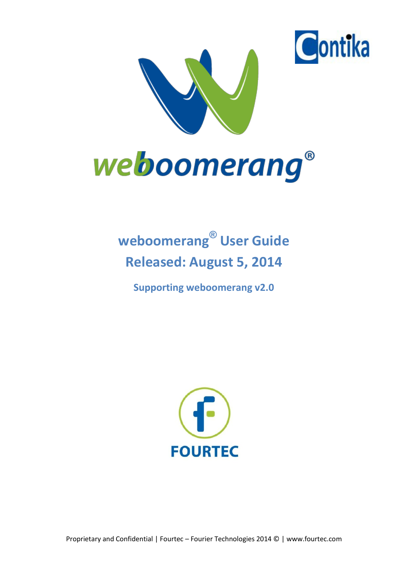



# **weboomerang® User Guide Released: August 5, 2014**

**Supporting weboomerang v2.0**



Proprietary and Confidential | Fourtec – Fourier Technologies 2014 © | www.fourtec.com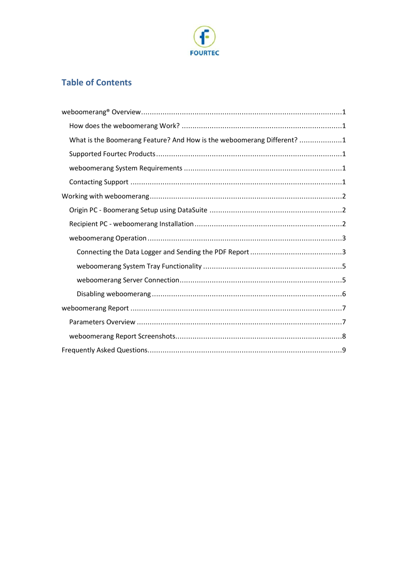

# **Table of Contents**

| What is the Boomerang Feature? And How is the weboomerang Different? 1 |
|------------------------------------------------------------------------|
|                                                                        |
|                                                                        |
|                                                                        |
|                                                                        |
|                                                                        |
|                                                                        |
|                                                                        |
|                                                                        |
|                                                                        |
|                                                                        |
|                                                                        |
|                                                                        |
|                                                                        |
|                                                                        |
|                                                                        |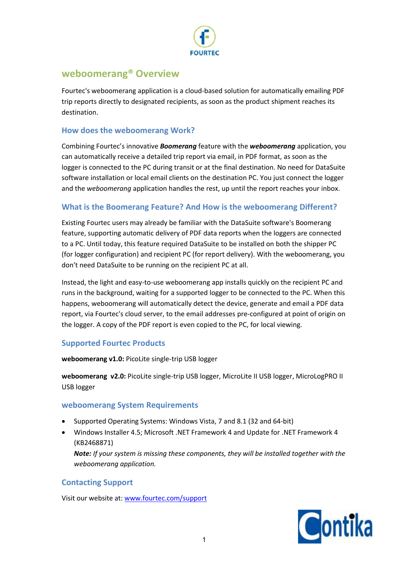

# **weboomerang® Overview**

Fourtec's weboomerang application is a cloud-based solution for automatically emailing PDF trip reports directly to designated recipients, as soon as the product shipment reaches its destination.

# **How does the weboomerang Work?**

Combining Fourtec's innovative *Boomerang* feature with the *weboomerang* application, you can automatically receive a detailed trip report via email, in PDF format, as soon as the logger is connected to the PC during transit or at the final destination. No need for DataSuite software installation or local email clients on the destination PC. You just connect the logger and the *weboomerang* application handles the rest, up until the report reaches your inbox.

# **What is the Boomerang Feature? And How is the weboomerang Different?**

Existing Fourtec users may already be familiar with the DataSuite software's Boomerang feature, supporting automatic delivery of PDF data reports when the loggers are connected to a PC. Until today, this feature required DataSuite to be installed on both the shipper PC (for logger configuration) and recipient PC (for report delivery). With the weboomerang, you don't need DataSuite to be running on the recipient PC at all.

Instead, the light and easy-to-use weboomerang app installs quickly on the recipient PC and runs in the background, waiting for a supported logger to be connected to the PC. When this happens, weboomerang will automatically detect the device, generate and email a PDF data report, via Fourtec's cloud server, to the email addresses pre-configured at point of origin on the logger. A copy of the PDF report is even copied to the PC, for local viewing.

# **Supported Fourtec Products**

**weboomerang v1.0:** PicoLite single-trip USB logger

**weboomerang v2.0:** PicoLite single-trip USB logger, MicroLite II USB logger, MicroLogPRO II USB logger

# **weboomerang System Requirements**

- · Supported Operating Systems: Windows Vista, 7 and 8.1 (32 and 64-bit)
- · Windows Installer 4.5; Microsoft .NET Framework 4 and Update for .NET Framework 4 (KB2468871)

*Note: If your system is missing these components, they will be installed together with the weboomerang application.*

## **Contacting Support**

Visit our website at: www.fourtec.com/support

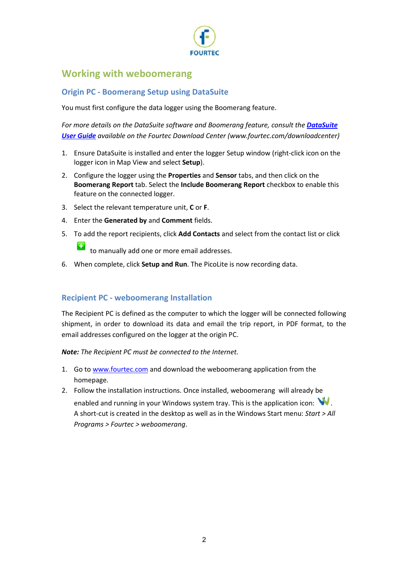

# **Working with weboomerang**

# **Origin PC - Boomerang Setup using DataSuite**

You must first configure the data logger using the Boomerang feature.

*For more details on the DataSuite software and Boomerang feature, consult the DataSuite User Guide available on the Fourtec Download Center (www.fourtec.com/downloadcenter)*

- 1. Ensure DataSuite is installed and enter the logger Setup window (right-click icon on the logger icon in Map View and select **Setup**).
- 2. Configure the logger using the **Properties** and **Sensor** tabs, and then click on the **Boomerang Report** tab. Select the **Include Boomerang Report** checkbox to enable this feature on the connected logger.
- 3. Select the relevant temperature unit, **C** or **F**.
- 4. Enter the **Generated by** and **Comment** fields.
- 5. To add the report recipients, click **Add Contacts** and select from the contact list or click

to manually add one or more email addresses.

6. When complete, click **Setup and Run**. The PicoLite is now recording data.

# **Recipient PC - weboomerang Installation**

The Recipient PC is defined as the computer to which the logger will be connected following shipment, in order to download its data and email the trip report, in PDF format, to the email addresses configured on the logger at the origin PC.

*Note: The Recipient PC must be connected to the Internet.*

- 1. Go to www.fourtec.com and download the weboomerang application from the homepage.
- 2. Follow the installation instructions. Once installed, weboomerang will already be enabled and running in your Windows system tray. This is the application icon:  $\mathbf{W}$ . A short-cut is created in the desktop as well as in the Windows Start menu: *Start > All Programs > Fourtec > weboomerang*.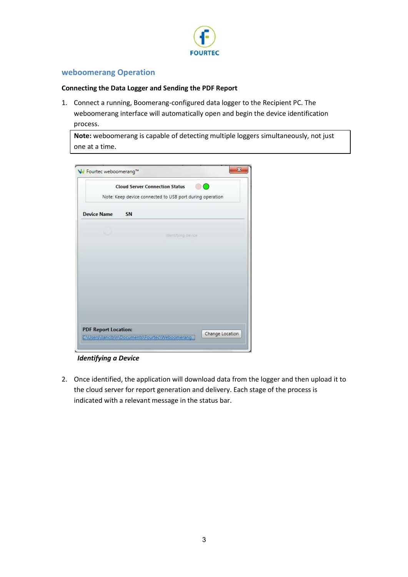

# **weboomerang Operation**

#### **Connecting the Data Logger and Sending the PDF Report**

1. Connect a running, Boomerang-configured data logger to the Recipient PC. The weboomerang interface will automatically open and begin the device identification process.

**Note:** weboomerang is capable of detecting multiple loggers simultaneously, not just one at a time.

|                             |    | <b>Cloud Server Connection Status</b><br>Note: Keep device connected to USB port during operation | Ð |
|-----------------------------|----|---------------------------------------------------------------------------------------------------|---|
| <b>Device Name</b>          | SN |                                                                                                   |   |
|                             |    | Identifying device                                                                                |   |
|                             |    |                                                                                                   |   |
| <b>PDF Report Location:</b> |    |                                                                                                   |   |

*Identifying a Device*

2. Once identified, the application will download data from the logger and then upload it to the cloud server for report generation and delivery. Each stage of the process is indicated with a relevant message in the status bar.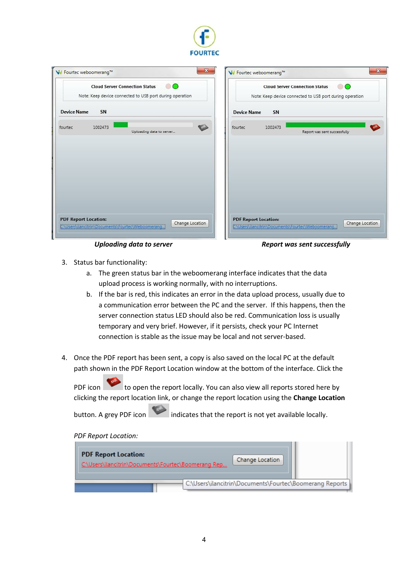

|                             |         | <b>Cloud Server Connection Status</b><br>Note: Keep device connected to USB port during operation | $\circ$         |                             |         | <b>Cloud Server Connection Status</b><br><b>DO</b><br>Note: Keep device connected to USB port during operation |  |
|-----------------------------|---------|---------------------------------------------------------------------------------------------------|-----------------|-----------------------------|---------|----------------------------------------------------------------------------------------------------------------|--|
| <b>Device Name</b>          | SN      |                                                                                                   |                 | <b>Device Name</b>          | SN      |                                                                                                                |  |
| fourtec                     | 1002473 | Uploading data to server                                                                          | <b>CO</b>       | fourtec                     | 1002473 | Report was sent successfully                                                                                   |  |
|                             |         |                                                                                                   |                 |                             |         |                                                                                                                |  |
|                             |         |                                                                                                   |                 |                             |         |                                                                                                                |  |
|                             |         |                                                                                                   |                 |                             |         |                                                                                                                |  |
| <b>PDF Report Location:</b> |         | C:\Users\ilancitrin\Documents\Fourtec\Weboomerang.                                                | Change Location | <b>PDF Report Location:</b> |         | Change Location<br>CNUsers\ilancitrin\Documents\Fourtec\Weboomerang                                            |  |

Uploading data to server **Report was sent successfully** 

- 3. Status bar functionality:
	- a. The green status bar in the weboomerang interface indicates that the data upload process is working normally, with no interruptions.
	- b. If the bar is red, this indicates an error in the data upload process, usually due to a communication error between the PC and the server. If this happens, then the server connection status LED should also be red. Communication loss is usually temporary and very brief. However, if it persists, check your PC Internet connection is stable as the issue may be local and not server-based.
- 4. Once the PDF report has been sent, a copy is also saved on the local PC at the default path shown in the PDF Report Location window at the bottom of the interface. Click the

PDF icon to open the report locally. You can also view all reports stored here by clicking the report location link, or change the report location using the **Change Location**

button. A grey PDF icon indicates that the report is not yet available locally.

*PDF Report Location:*

| <b>PDF Report Location:</b><br>C:\Users\ilancitrin\Documents\Fourtec\Boomerang Rep | Change Location                                         |
|------------------------------------------------------------------------------------|---------------------------------------------------------|
|                                                                                    | C:\Users\ilancitrin\Documents\Fourtec\Boomerang Reports |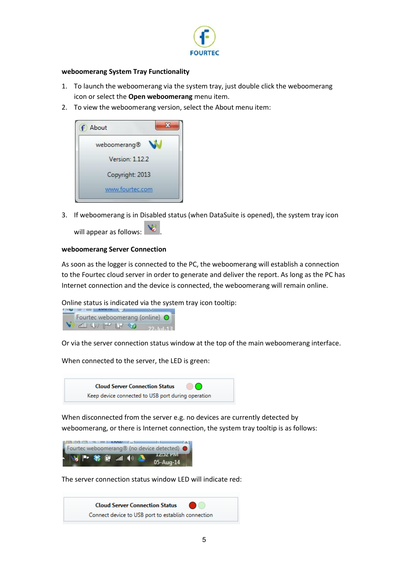

#### **weboomerang System Tray Functionality**

- 1. To launch the weboomerang via the system tray, just double click the weboomerang icon or select the **Open weboomerang** menu item.
- 2. To view the weboomerang version, select the About menu item:



3. If weboomerang is in Disabled status (when DataSuite is opened), the system tray icon

will appear as follows:  $\mathbf{V}$ 

#### **weboomerang Server Connection**

As soon as the logger is connected to the PC, the weboomerang will establish a connection to the Fourtec cloud server in order to generate and deliver the report. As long as the PC has Internet connection and the device is connected, the weboomerang will remain online.

Online status is indicated via the system tray icon tooltip:



Or via the server connection status window at the top of the main weboomerang interface.

When connected to the server, the LED is green:



When disconnected from the server e.g. no devices are currently detected by weboomerang, or there is Internet connection, the system tray tooltip is as follows:

| - 33 下等時 31 (0)                        |  |  | <b>IZDZ PM</b><br>05-Aug-14                                                                                                                                                                                                                                                                 |  |
|----------------------------------------|--|--|---------------------------------------------------------------------------------------------------------------------------------------------------------------------------------------------------------------------------------------------------------------------------------------------|--|
| $E = 1$ Belleville $E = 1$ the $V = V$ |  |  | <u>and the contract of the contract of the contract of the contract of the contract of the contract of the contract of the contract of the contract of the contract of the contract of the contract of the contract of the contr</u><br>Fourtec weboomerang® (no device detected) $\bullet$ |  |

The server connection status window LED will indicate red:

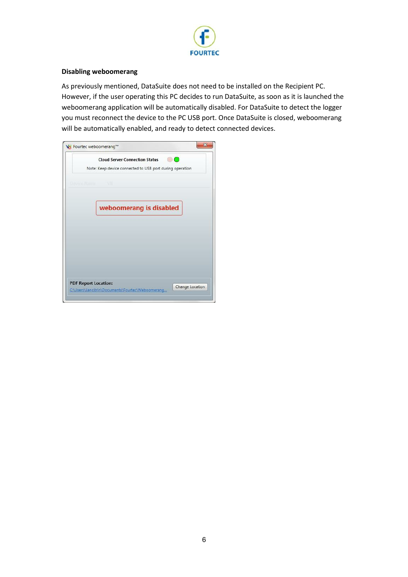

#### **Disabling weboomerang**

As previously mentioned, DataSuite does not need to be installed on the Recipient PC. However, if the user operating this PC decides to run DataSuite, as soon as it is launched the weboomerang application will be automatically disabled. For DataSuite to detect the logger you must reconnect the device to the PC USB port. Once DataSuite is closed, weboomerang will be automatically enabled, and ready to detect connected devices.

|                             | <b>Cloud Server Connection Status</b>                    |
|-----------------------------|----------------------------------------------------------|
|                             | Note: Keep device connected to USB port during operation |
| Device Name                 | 531                                                      |
|                             | weboomerang is disabled                                  |
|                             |                                                          |
|                             |                                                          |
|                             |                                                          |
|                             |                                                          |
| <b>PDF Report Location:</b> |                                                          |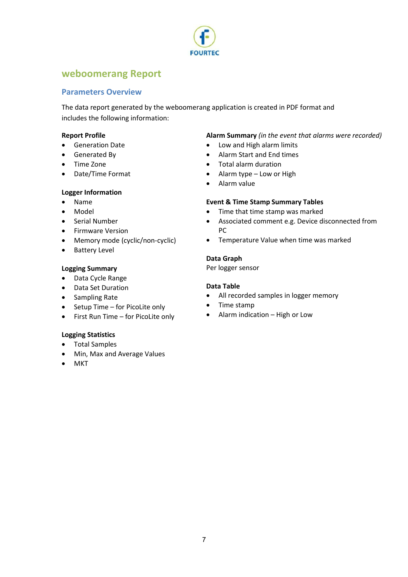

# **weboomerang Report**

# **Parameters Overview**

The data report generated by the weboomerang application is created in PDF format and includes the following information:

### **Report Profile**

- · Generation Date
- · Generated By
- · Time Zone
- · Date/Time Format

### **Logger Information**

- · Name
- · Model
- · Serial Number
- · Firmware Version
- Memory mode (cyclic/non-cyclic)
- · Battery Level

### **Logging Summary**

- · Data Cycle Range
- · Data Set Duration
- · Sampling Rate
- · Setup Time for PicoLite only
- · First Run Time for PicoLite only

## **Logging Statistics**

- · Total Samples
- · Min, Max and Average Values
- · MKT

## **Alarm Summary** *(in the event that alarms were recorded)*

- · Low and High alarm limits
- · Alarm Start and End times
- · Total alarm duration
- Alarm type Low or High
- · Alarm value

### **Event & Time Stamp Summary Tables**

- · Time that time stamp was marked
- · Associated comment e.g. Device disconnected from PC
- · Temperature Value when time was marked

### **Data Graph**

Per logger sensor

### **Data Table**

- · All recorded samples in logger memory
- · Time stamp
- · Alarm indication High or Low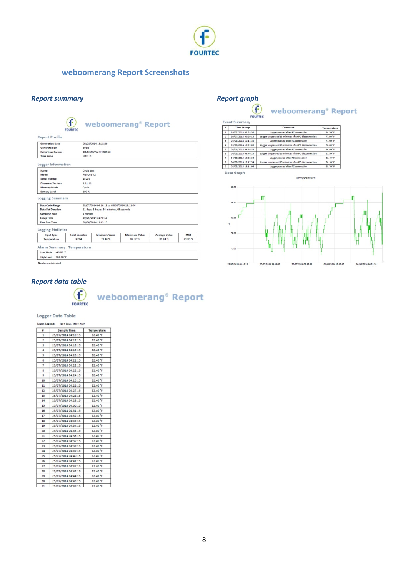

# **weboomerang Report Screenshots**

# **Report summary and a set of the contract of the Report graph**

| cyclic               | 05/08/2014 13:18:00  |                                                                                                        |                                                                                        |            |
|----------------------|----------------------|--------------------------------------------------------------------------------------------------------|----------------------------------------------------------------------------------------|------------|
|                      |                      |                                                                                                        |                                                                                        |            |
|                      |                      |                                                                                                        |                                                                                        |            |
|                      | dd/MM/yyyy HH:mm:ss  |                                                                                                        |                                                                                        |            |
| $UTC + 3$            |                      |                                                                                                        |                                                                                        |            |
|                      |                      |                                                                                                        |                                                                                        |            |
|                      |                      |                                                                                                        |                                                                                        |            |
|                      |                      |                                                                                                        |                                                                                        |            |
| 15236                |                      |                                                                                                        |                                                                                        |            |
|                      |                      |                                                                                                        |                                                                                        |            |
| Cyclic               |                      |                                                                                                        |                                                                                        |            |
| 100%                 |                      |                                                                                                        |                                                                                        |            |
|                      |                      |                                                                                                        |                                                                                        |            |
|                      |                      |                                                                                                        |                                                                                        |            |
|                      |                      |                                                                                                        |                                                                                        |            |
|                      |                      |                                                                                                        |                                                                                        |            |
|                      |                      |                                                                                                        |                                                                                        |            |
|                      |                      |                                                                                                        |                                                                                        |            |
|                      |                      |                                                                                                        |                                                                                        |            |
| <b>Total Samples</b> | <b>Minimum Value</b> | <b>Maximum Value</b>                                                                                   | <b>Average Value</b>                                                                   | <b>MKT</b> |
|                      |                      |                                                                                                        |                                                                                        |            |
|                      |                      | <b>Cyclic test</b><br>PicoLite V2<br>1.11.11<br>1 minute<br>30/06/2014 11:49:10<br>30/06/2014 11:49:15 | 25/07/2014 04:16:15 to 05/08/2014 13:11:04<br>11 days, 8 hours, 54 minutes, 49 seconds |            |



weboomerang<sup>®</sup> Report

| ٠              | <b>Time Stamp</b>   | Comment                                            | Temperature          |
|----------------|---------------------|----------------------------------------------------|----------------------|
| 1              | 29/07/2014 08:53:56 | Logger paused after PC connection                  | 84.20 °F             |
| $\overline{z}$ | 29/07/2014 09:29:13 | Logger un-paused 15 minutes after PC disconnection | 77.90 °F             |
| 3              | 03/08/2014 10:11:10 | Logger paused after PC connection                  | 77.90 °F             |
| 4              | 03/08/2014 10:29:09 | Logger un-paused 15 minutes after PC disconnection | 78.80 <sup>7</sup> F |
| 5              | 04/08/2014 09:26:33 | Logger paused after PC connection                  | 86.90 <sup>*</sup> F |
| 6              | 04/08/2014 09:46:15 | Logger un-paused 15 minutes after PC disconnection | 81.50 °F             |
| 7              | 04/08/2014 15:02:38 | Logger paused after PC connection                  | 82.40 °F             |
| s              | 04/08/2014 15:17:54 | Logger un-paused 15 minutes after PC disconnection | 76.10 °F             |
| ۰              | 05/08/2014 13:11:04 | Logger paused after PC connection                  | 88.70 °F             |

Data Graph



# *Report data table*



weboomerang<sup>®</sup> Report

#### Logger Data Table

| ۰  | <b>Sample Time</b>  | Temperature          |
|----|---------------------|----------------------|
| 1  | 25/07/2014 04:16:15 | 82.40 °F             |
| 2  | 25/07/2014 04:17:15 | 82.40 °F             |
| 3  | 25/07/2014 04:18:15 | 82.40 °F             |
| 4  | 25/07/2014 04:19:15 | 82.40 °F             |
| 5  | 25/07/2014 04:20:15 | 82.40 <sup>°</sup> F |
| 6  | 25/07/2014 04:21:15 | 82.40 °F             |
| 7  | 25/07/2014 04:22:15 | 82.40 °F             |
| s  | 25/07/2014 04:23:15 | 82.40 °F             |
| 9  | 25/07/2014 04:24:15 | 82.40 °F             |
| 10 | 25/07/2014 04:25:15 | 82.40 °F             |
| 11 | 25/07/2014 04:26:15 | 82.40 °F             |
| 12 | 25/07/2014 04:27:15 | 82.40 °F             |
| 13 | 25/07/2014 04:28:15 | 82 40 °F             |
| 14 | 25/07/2014 04:29:15 | 82.40 °F             |
| 15 | 25/07/2014 04:30:15 | 82.40 °F             |
| 16 | 25/07/2014 04:31:15 | 82.40 °F             |
| 17 | 25/07/2014 04:32:15 | 82.40 °F             |
| 18 | 25/07/2014 04:33:15 | 82.40 °F             |
| 19 | 25/07/2014 04:34:15 | 82.40 °F             |
| 20 | 25/07/2014 04:35:15 | 82.40 °F             |
| 21 | 25/07/2014 04:36:15 | 82.40 °F             |
| 22 | 25/07/2014 04:37:15 | 82.40 °F             |
| 23 | 25/07/2014 04:38:15 | 82.40 °F             |
| 24 | 25/07/2014 04:39:15 | 82.40 °F             |
| 25 | 25/07/2014 04:40:15 | 82.40 °F             |
| 26 | 25/07/2014 04:41:15 | 82.40 °F             |
| 27 | 25/07/2014 04:42:15 | 82.40 °F             |
| 28 | 25/07/2014 04:43:15 | 82.40 °F             |
| 29 | 25/07/2014 04:44:15 | 82.40 °F             |
| 30 | 25/07/2014 04:45:15 | 82.40 °F             |
| 31 | 25/07/2014 04:46:15 | 82.40 °F             |